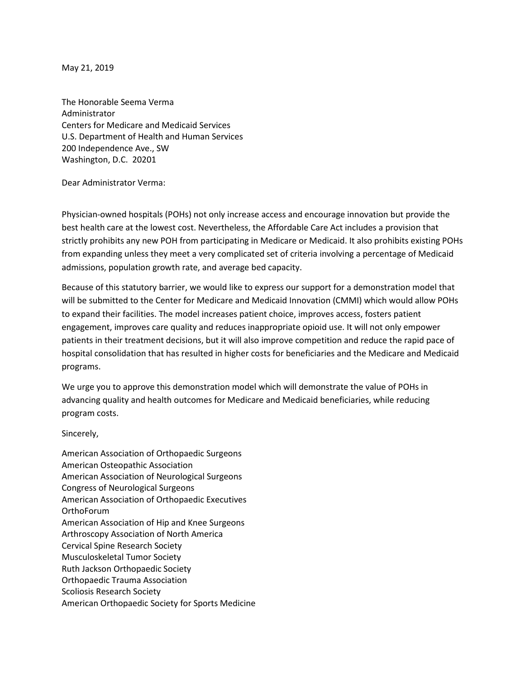May 21, 2019

The Honorable Seema Verma Administrator Centers for Medicare and Medicaid Services U.S. Department of Health and Human Services 200 Independence Ave., SW Washington, D.C. 20201

Dear Administrator Verma:

Physician-owned hospitals (POHs) not only increase access and encourage innovation but provide the best health care at the lowest cost. Nevertheless, the Affordable Care Act includes a provision that strictly prohibits any new POH from participating in Medicare or Medicaid. It also prohibits existing POHs from expanding unless they meet a very complicated set of criteria involving a percentage of Medicaid admissions, population growth rate, and average bed capacity.

Because of this statutory barrier, we would like to express our support for a demonstration model that will be submitted to the Center for Medicare and Medicaid Innovation (CMMI) which would allow POHs to expand their facilities. The model increases patient choice, improves access, fosters patient engagement, improves care quality and reduces inappropriate opioid use. It will not only empower patients in their treatment decisions, but it will also improve competition and reduce the rapid pace of hospital consolidation that has resulted in higher costs for beneficiaries and the Medicare and Medicaid programs.

We urge you to approve this demonstration model which will demonstrate the value of POHs in advancing quality and health outcomes for Medicare and Medicaid beneficiaries, while reducing program costs.

Sincerely,

American Association of Orthopaedic Surgeons American Osteopathic Association American Association of Neurological Surgeons Congress of Neurological Surgeons American Association of Orthopaedic Executives OrthoForum American Association of Hip and Knee Surgeons Arthroscopy Association of North America Cervical Spine Research Society Musculoskeletal Tumor Society Ruth Jackson Orthopaedic Society Orthopaedic Trauma Association Scoliosis Research Society American Orthopaedic Society for Sports Medicine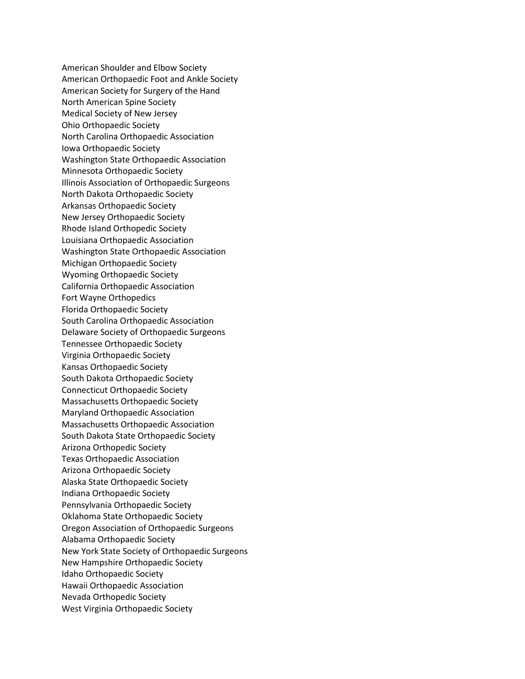American Shoulder and Elbow Society American Orthopaedic Foot and Ankle Society American Society for Surgery of the Hand North American Spine Society Medical Society of New Jersey Ohio Orthopaedic Society North Carolina Orthopaedic Association Iowa Orthopaedic Society Washington State Orthopaedic Association Minnesota Orthopaedic Society Illinois Association of Orthopaedic Surgeons North Dakota Orthopaedic Society Arkansas Orthopaedic Society New Jersey Orthopaedic Society Rhode Island Orthopedic Society Louisiana Orthopaedic Association Washington State Orthopaedic Association Michigan Orthopaedic Society Wyoming Orthopaedic Society California Orthopaedic Association Fort Wayne Orthopedics Florida Orthopaedic Society South Carolina Orthopaedic Association Delaware Society of Orthopaedic Surgeons Tennessee Orthopaedic Society Virginia Orthopaedic Society Kansas Orthopaedic Society South Dakota Orthopaedic Society Connecticut Orthopaedic Society Massachusetts Orthopaedic Society Maryland Orthopaedic Association Massachusetts Orthopaedic Association South Dakota State Orthopaedic Society Arizona Orthopedic Society Texas Orthopaedic Association Arizona Orthopaedic Society Alaska State Orthopaedic Society Indiana Orthopaedic Society Pennsylvania Orthopaedic Society Oklahoma State Orthopaedic Society Oregon Association of Orthopaedic Surgeons Alabama Orthopaedic Society New York State Society of Orthopaedic Surgeons New Hampshire Orthopaedic Society Idaho Orthopaedic Society Hawaii Orthopaedic Association Nevada Orthopedic Society West Virginia Orthopaedic Society